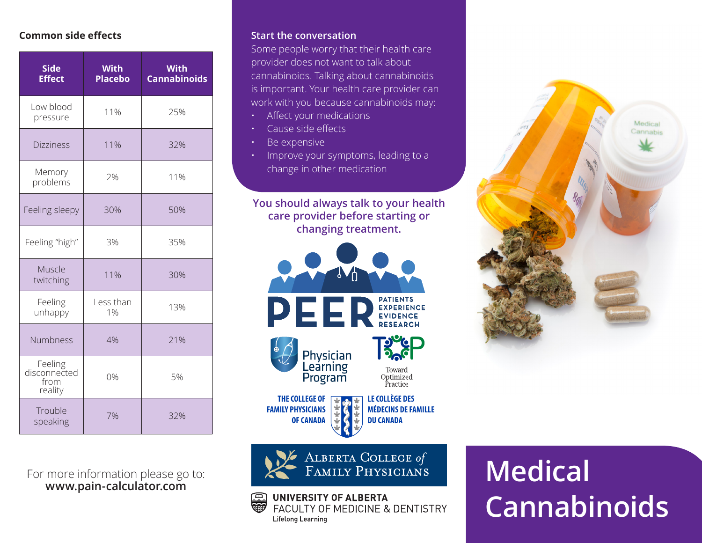## **Common side effects**

| <b>Side</b><br><b>Effect</b>               | With<br><b>Placebo</b> | <b>With</b><br><b>Cannabinoids</b> |
|--------------------------------------------|------------------------|------------------------------------|
| Low blood<br>pressure                      | 11%                    | 25%                                |
| <b>Dizziness</b>                           | 11%                    | 32%                                |
| Memory<br>problems                         | 2%                     | 11%                                |
| Feeling sleepy                             | 30%                    | 50%                                |
| Feeling "high"                             | 3%                     | 35%                                |
| Muscle<br>twitching                        | 11%                    | 30%                                |
| Feeling<br>unhappy                         | Less than<br>1%        | 13%                                |
| Numbness                                   | 4%                     | 21%                                |
| Feeling<br>disconnected<br>from<br>reality | 0%                     | 5%                                 |
| Trouble<br>speaking                        | 7%                     | 32%                                |

For more information please go to: **www.pain-calculator.com**

#### **Start the conversation**

Some people worry that their health care provider does not want to talk about cannabinoids. Talking about cannabinoids is important. Your health care provider can work with you because cannabinoids may:

- Affect your medications
- Cause side effects
- Be expensive
- Improve your symptoms, leading to a change in other medication

**You should always talk to your health care provider before starting or changing treatment.**





UNIVERSITY OF ALBERTA

Lifelong Learning

回

FACULTY OF MEDICINE & DENTISTRY



# **Medical Cannabinoids**